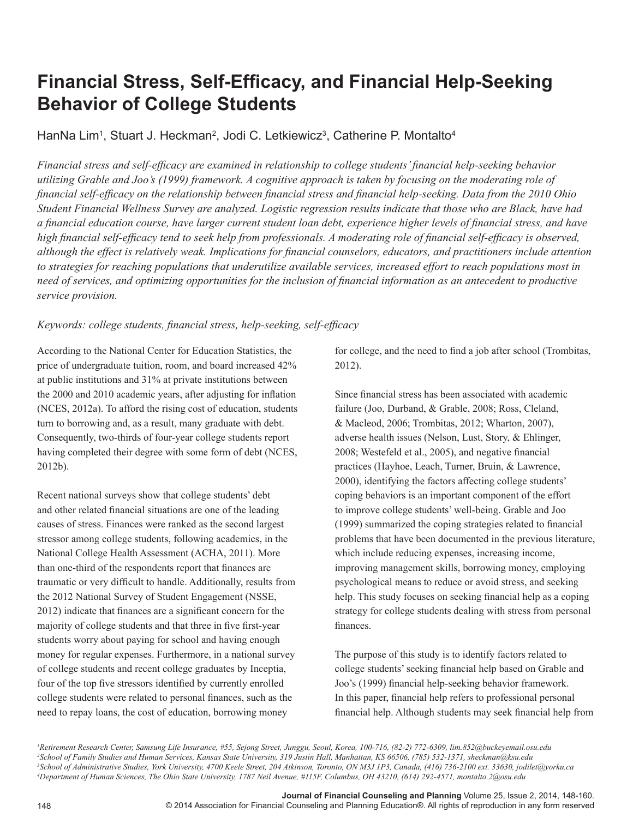# **Financial Stress, Self-Efficacy, and Financial Help-Seeking Behavior of College Students**

HanNa Lim<sup>1</sup>, Stuart J. Heckman<sup>2</sup>, Jodi C. Letkiewicz<sup>3</sup>, Catherine P. Montalto<sup>4</sup>

*Financial stress and self-efficacy are examined in relationship to college students' financial help-seeking behavior utilizing Grable and Joo's (1999) framework. A cognitive approach is taken by focusing on the moderating role of financial self-efficacy on the relationship between financial stress and financial help-seeking. Data from the 2010 Ohio Student Financial Wellness Survey are analyzed. Logistic regression results indicate that those who are Black, have had a financial education course, have larger current student loan debt, experience higher levels of financial stress, and have high financial self-efficacy tend to seek help from professionals. A moderating role of financial self-efficacy is observed, although the effect is relatively weak. Implications for financial counselors, educators, and practitioners include attention to strategies for reaching populations that underutilize available services, increased effort to reach populations most in need of services, and optimizing opportunities for the inclusion of financial information as an antecedent to productive service provision.*

# *Keywords: college students, financial stress, help-seeking, self-efficacy*

According to the National Center for Education Statistics, the price of undergraduate tuition, room, and board increased 42% at public institutions and 31% at private institutions between the 2000 and 2010 academic years, after adjusting for inflation (NCES, 2012a). To afford the rising cost of education, students turn to borrowing and, as a result, many graduate with debt. Consequently, two-thirds of four-year college students report having completed their degree with some form of debt (NCES, 2012b).

Recent national surveys show that college students' debt and other related financial situations are one of the leading causes of stress. Finances were ranked as the second largest stressor among college students, following academics, in the National College Health Assessment (ACHA, 2011). More than one-third of the respondents report that finances are traumatic or very difficult to handle. Additionally, results from the 2012 National Survey of Student Engagement (NSSE, 2012) indicate that finances are a significant concern for the majority of college students and that three in five first-year students worry about paying for school and having enough money for regular expenses. Furthermore, in a national survey of college students and recent college graduates by Inceptia, four of the top five stressors identified by currently enrolled college students were related to personal finances, such as the need to repay loans, the cost of education, borrowing money

for college, and the need to find a job after school (Trombitas, 2012).

Since financial stress has been associated with academic failure (Joo, Durband, & Grable, 2008; Ross, Cleland, & Macleod, 2006; Trombitas, 2012; Wharton, 2007), adverse health issues (Nelson, Lust, Story, & Ehlinger, 2008; Westefeld et al., 2005), and negative financial practices (Hayhoe, Leach, Turner, Bruin, & Lawrence, 2000), identifying the factors affecting college students' coping behaviors is an important component of the effort to improve college students' well-being. Grable and Joo (1999) summarized the coping strategies related to financial problems that have been documented in the previous literature, which include reducing expenses, increasing income, improving management skills, borrowing money, employing psychological means to reduce or avoid stress, and seeking help. This study focuses on seeking financial help as a coping strategy for college students dealing with stress from personal finances.

The purpose of this study is to identify factors related to college students' seeking financial help based on Grable and Joo's (1999) financial help-seeking behavior framework. In this paper, financial help refers to professional personal financial help. Although students may seek financial help from

 *Retirement Research Center, Samsung Life Insurance, #55, Sejong Street, Junggu, Seoul, Korea, 100-716, (82-2) 772-6309, lim.852@buckeyemail.osu.edu School of Family Studies and Human Services, Kansas State University, 319 Justin Hall, Manhattan, KS 66506, (785) 532-1371, sheckman@ksu.edu School of Administrative Studies, York University, 4700 Keele Street, 204 Atkinson, Toronto, ON M3J 1P3, Canada, (416) 736-2100 ext. 33630, jodilet@yorku.ca Department of Human Sciences, The Ohio State University, 1787 Neil Avenue, #115F, Columbus, OH 43210, (614) 292-4571, montalto.2@osu.edu*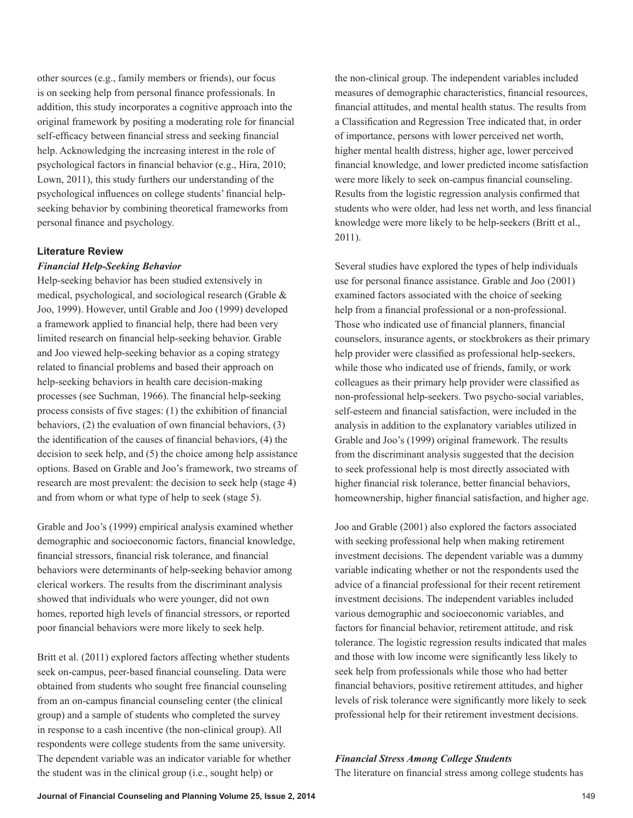other sources (e.g., family members or friends), our focus is on seeking help from personal finance professionals. In addition, this study incorporates a cognitive approach into the original framework by positing a moderating role for financial self-efficacy between financial stress and seeking financial help. Acknowledging the increasing interest in the role of psychological factors in financial behavior (e.g., Hira, 2010; Lown, 2011), this study furthers our understanding of the psychological influences on college students' financial helpseeking behavior by combining theoretical frameworks from personal finance and psychology.

#### **Literature Review**

#### *Financial Help-Seeking Behavior*

Help-seeking behavior has been studied extensively in medical, psychological, and sociological research (Grable & Joo, 1999). However, until Grable and Joo (1999) developed a framework applied to financial help, there had been very limited research on financial help-seeking behavior. Grable and Joo viewed help-seeking behavior as a coping strategy related to financial problems and based their approach on help-seeking behaviors in health care decision-making processes (see Suchman, 1966). The financial help-seeking process consists of five stages: (1) the exhibition of financial behaviors, (2) the evaluation of own financial behaviors, (3) the identification of the causes of financial behaviors, (4) the decision to seek help, and (5) the choice among help assistance options. Based on Grable and Joo's framework, two streams of research are most prevalent: the decision to seek help (stage 4) and from whom or what type of help to seek (stage 5).

Grable and Joo's (1999) empirical analysis examined whether demographic and socioeconomic factors, financial knowledge, financial stressors, financial risk tolerance, and financial behaviors were determinants of help-seeking behavior among clerical workers. The results from the discriminant analysis showed that individuals who were younger, did not own homes, reported high levels of financial stressors, or reported poor financial behaviors were more likely to seek help.

Britt et al. (2011) explored factors affecting whether students seek on-campus, peer-based financial counseling. Data were obtained from students who sought free financial counseling from an on-campus financial counseling center (the clinical group) and a sample of students who completed the survey in response to a cash incentive (the non-clinical group). All respondents were college students from the same university. The dependent variable was an indicator variable for whether the student was in the clinical group (i.e., sought help) or

the non-clinical group. The independent variables included measures of demographic characteristics, financial resources, financial attitudes, and mental health status. The results from a Classification and Regression Tree indicated that, in order of importance, persons with lower perceived net worth, higher mental health distress, higher age, lower perceived financial knowledge, and lower predicted income satisfaction were more likely to seek on-campus financial counseling. Results from the logistic regression analysis confirmed that students who were older, had less net worth, and less financial knowledge were more likely to be help-seekers (Britt et al., 2011).

Several studies have explored the types of help individuals use for personal finance assistance. Grable and Joo (2001) examined factors associated with the choice of seeking help from a financial professional or a non-professional. Those who indicated use of financial planners, financial counselors, insurance agents, or stockbrokers as their primary help provider were classified as professional help-seekers, while those who indicated use of friends, family, or work colleagues as their primary help provider were classified as non-professional help-seekers. Two psycho-social variables, self-esteem and financial satisfaction, were included in the analysis in addition to the explanatory variables utilized in Grable and Joo's (1999) original framework. The results from the discriminant analysis suggested that the decision to seek professional help is most directly associated with higher financial risk tolerance, better financial behaviors, homeownership, higher financial satisfaction, and higher age.

Joo and Grable (2001) also explored the factors associated with seeking professional help when making retirement investment decisions. The dependent variable was a dummy variable indicating whether or not the respondents used the advice of a financial professional for their recent retirement investment decisions. The independent variables included various demographic and socioeconomic variables, and factors for financial behavior, retirement attitude, and risk tolerance. The logistic regression results indicated that males and those with low income were significantly less likely to seek help from professionals while those who had better financial behaviors, positive retirement attitudes, and higher levels of risk tolerance were significantly more likely to seek professional help for their retirement investment decisions.

#### *Financial Stress Among College Students*

The literature on financial stress among college students has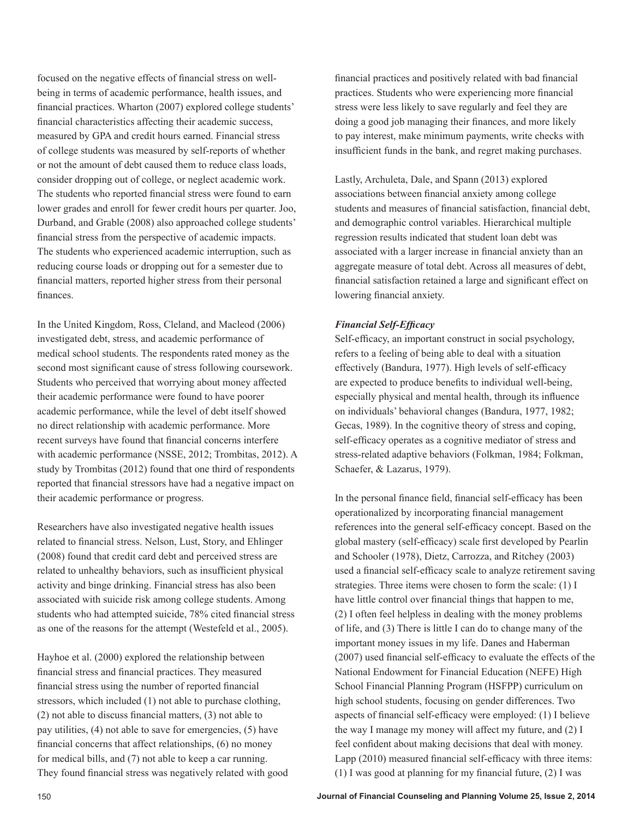focused on the negative effects of financial stress on wellbeing in terms of academic performance, health issues, and financial practices. Wharton (2007) explored college students' financial characteristics affecting their academic success, measured by GPA and credit hours earned. Financial stress of college students was measured by self-reports of whether or not the amount of debt caused them to reduce class loads, consider dropping out of college, or neglect academic work. The students who reported financial stress were found to earn lower grades and enroll for fewer credit hours per quarter. Joo, Durband, and Grable (2008) also approached college students' financial stress from the perspective of academic impacts. The students who experienced academic interruption, such as reducing course loads or dropping out for a semester due to financial matters, reported higher stress from their personal finances.

In the United Kingdom, Ross, Cleland, and Macleod (2006) investigated debt, stress, and academic performance of medical school students. The respondents rated money as the second most significant cause of stress following coursework. Students who perceived that worrying about money affected their academic performance were found to have poorer academic performance, while the level of debt itself showed no direct relationship with academic performance. More recent surveys have found that financial concerns interfere with academic performance (NSSE, 2012; Trombitas, 2012). A study by Trombitas (2012) found that one third of respondents reported that financial stressors have had a negative impact on their academic performance or progress.

Researchers have also investigated negative health issues related to financial stress. Nelson, Lust, Story, and Ehlinger (2008) found that credit card debt and perceived stress are related to unhealthy behaviors, such as insufficient physical activity and binge drinking. Financial stress has also been associated with suicide risk among college students. Among students who had attempted suicide, 78% cited financial stress as one of the reasons for the attempt (Westefeld et al., 2005).

Hayhoe et al. (2000) explored the relationship between financial stress and financial practices. They measured financial stress using the number of reported financial stressors, which included (1) not able to purchase clothing, (2) not able to discuss financial matters, (3) not able to pay utilities, (4) not able to save for emergencies, (5) have financial concerns that affect relationships, (6) no money for medical bills, and (7) not able to keep a car running. They found financial stress was negatively related with good financial practices and positively related with bad financial practices. Students who were experiencing more financial stress were less likely to save regularly and feel they are doing a good job managing their finances, and more likely to pay interest, make minimum payments, write checks with insufficient funds in the bank, and regret making purchases.

Lastly, Archuleta, Dale, and Spann (2013) explored associations between financial anxiety among college students and measures of financial satisfaction, financial debt, and demographic control variables. Hierarchical multiple regression results indicated that student loan debt was associated with a larger increase in financial anxiety than an aggregate measure of total debt. Across all measures of debt, financial satisfaction retained a large and significant effect on lowering financial anxiety.

# *Financial Self-Efficacy*

Self-efficacy, an important construct in social psychology, refers to a feeling of being able to deal with a situation effectively (Bandura, 1977). High levels of self-efficacy are expected to produce benefits to individual well-being, especially physical and mental health, through its influence on individuals' behavioral changes (Bandura, 1977, 1982; Gecas, 1989). In the cognitive theory of stress and coping, self-efficacy operates as a cognitive mediator of stress and stress-related adaptive behaviors (Folkman, 1984; Folkman, Schaefer, & Lazarus, 1979).

In the personal finance field, financial self-efficacy has been operationalized by incorporating financial management references into the general self-efficacy concept. Based on the global mastery (self-efficacy) scale first developed by Pearlin and Schooler (1978), Dietz, Carrozza, and Ritchey (2003) used a financial self-efficacy scale to analyze retirement saving strategies. Three items were chosen to form the scale: (1) I have little control over financial things that happen to me, (2) I often feel helpless in dealing with the money problems of life, and (3) There is little I can do to change many of the important money issues in my life. Danes and Haberman (2007) used financial self-efficacy to evaluate the effects of the National Endowment for Financial Education (NEFE) High School Financial Planning Program (HSFPP) curriculum on high school students, focusing on gender differences. Two aspects of financial self-efficacy were employed: (1) I believe the way I manage my money will affect my future, and (2) I feel confident about making decisions that deal with money. Lapp (2010) measured financial self-efficacy with three items: (1) I was good at planning for my financial future, (2) I was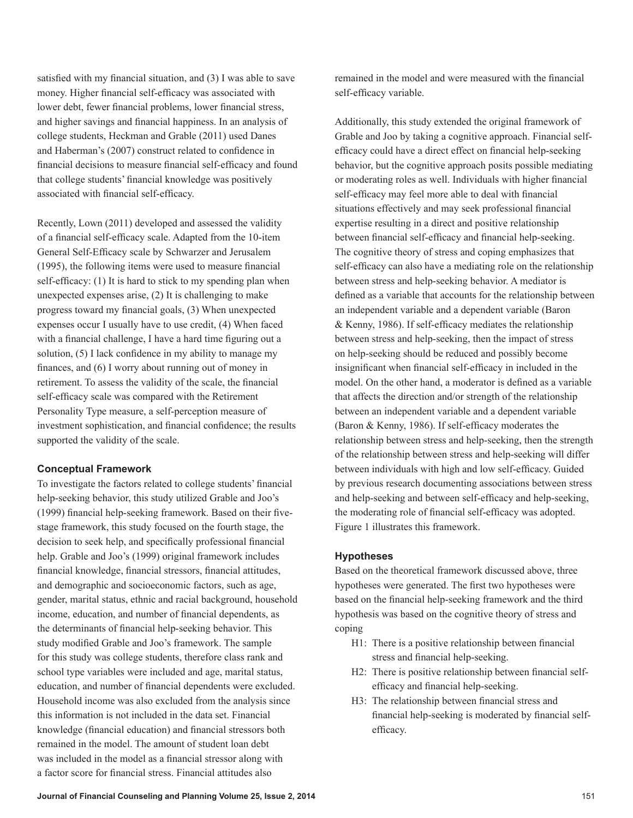satisfied with my financial situation, and (3) I was able to save money. Higher financial self-efficacy was associated with lower debt, fewer financial problems, lower financial stress, and higher savings and financial happiness. In an analysis of college students, Heckman and Grable (2011) used Danes and Haberman's (2007) construct related to confidence in financial decisions to measure financial self-efficacy and found that college students' financial knowledge was positively associated with financial self-efficacy.

Recently, Lown (2011) developed and assessed the validity of a financial self-efficacy scale. Adapted from the 10-item General Self-Efficacy scale by Schwarzer and Jerusalem (1995), the following items were used to measure financial self-efficacy: (1) It is hard to stick to my spending plan when unexpected expenses arise, (2) It is challenging to make progress toward my financial goals, (3) When unexpected expenses occur I usually have to use credit, (4) When faced with a financial challenge, I have a hard time figuring out a solution, (5) I lack confidence in my ability to manage my finances, and (6) I worry about running out of money in retirement. To assess the validity of the scale, the financial self-efficacy scale was compared with the Retirement Personality Type measure, a self-perception measure of investment sophistication, and financial confidence; the results supported the validity of the scale.

## **Conceptual Framework**

To investigate the factors related to college students' financial help-seeking behavior, this study utilized Grable and Joo's (1999) financial help-seeking framework. Based on their fivestage framework, this study focused on the fourth stage, the decision to seek help, and specifically professional financial help. Grable and Joo's (1999) original framework includes financial knowledge, financial stressors, financial attitudes, and demographic and socioeconomic factors, such as age, gender, marital status, ethnic and racial background, household income, education, and number of financial dependents, as the determinants of financial help-seeking behavior. This study modified Grable and Joo's framework. The sample for this study was college students, therefore class rank and school type variables were included and age, marital status, education, and number of financial dependents were excluded. Household income was also excluded from the analysis since this information is not included in the data set. Financial knowledge (financial education) and financial stressors both remained in the model. The amount of student loan debt was included in the model as a financial stressor along with a factor score for financial stress. Financial attitudes also

remained in the model and were measured with the financial self-efficacy variable.

Additionally, this study extended the original framework of Grable and Joo by taking a cognitive approach. Financial selfefficacy could have a direct effect on financial help-seeking behavior, but the cognitive approach posits possible mediating or moderating roles as well. Individuals with higher financial self-efficacy may feel more able to deal with financial situations effectively and may seek professional financial expertise resulting in a direct and positive relationship between financial self-efficacy and financial help-seeking. The cognitive theory of stress and coping emphasizes that self-efficacy can also have a mediating role on the relationship between stress and help-seeking behavior. A mediator is defined as a variable that accounts for the relationship between an independent variable and a dependent variable (Baron & Kenny, 1986). If self-efficacy mediates the relationship between stress and help-seeking, then the impact of stress on help-seeking should be reduced and possibly become insignificant when financial self-efficacy in included in the model. On the other hand, a moderator is defined as a variable that affects the direction and/or strength of the relationship between an independent variable and a dependent variable (Baron & Kenny, 1986). If self-efficacy moderates the relationship between stress and help-seeking, then the strength of the relationship between stress and help-seeking will differ between individuals with high and low self-efficacy. Guided by previous research documenting associations between stress and help-seeking and between self-efficacy and help-seeking, the moderating role of financial self-efficacy was adopted. Figure 1 illustrates this framework.

## **Hypotheses**

Based on the theoretical framework discussed above, three hypotheses were generated. The first two hypotheses were based on the financial help-seeking framework and the third hypothesis was based on the cognitive theory of stress and coping

- H1: There is a positive relationship between financial stress and financial help-seeking.
- H2: There is positive relationship between financial selfefficacy and financial help-seeking.
- H3: The relationship between financial stress and financial help-seeking is moderated by financial selfefficacy.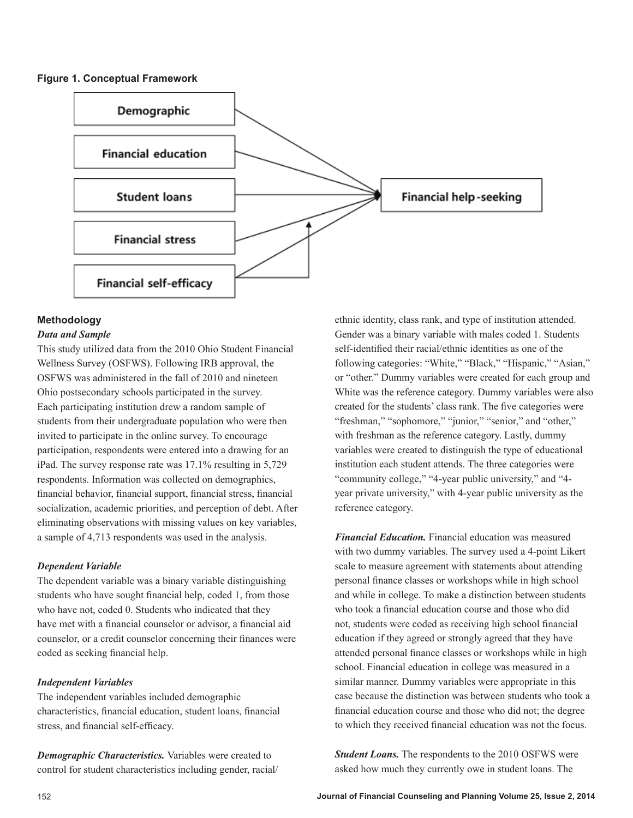**Figure 1. Conceptual Framework** 



## **Methodology**

#### *Data and Sample*

This study utilized data from the 2010 Ohio Student Financial Wellness Survey (OSFWS). Following IRB approval, the OSFWS was administered in the fall of 2010 and nineteen Ohio postsecondary schools participated in the survey. Each participating institution drew a random sample of students from their undergraduate population who were then invited to participate in the online survey. To encourage participation, respondents were entered into a drawing for an iPad. The survey response rate was 17.1% resulting in 5,729 respondents. Information was collected on demographics, financial behavior, financial support, financial stress, financial socialization, academic priorities, and perception of debt. After eliminating observations with missing values on key variables, a sample of 4,713 respondents was used in the analysis.

## *Dependent Variable*

The dependent variable was a binary variable distinguishing students who have sought financial help, coded 1, from those who have not, coded 0. Students who indicated that they have met with a financial counselor or advisor, a financial aid counselor, or a credit counselor concerning their finances were coded as seeking financial help.

## *Independent Variables*

The independent variables included demographic characteristics, financial education, student loans, financial stress, and financial self-efficacy.

*Demographic Characteristics.* Variables were created to control for student characteristics including gender, racial/ ethnic identity, class rank, and type of institution attended. Gender was a binary variable with males coded 1. Students self-identified their racial/ethnic identities as one of the following categories: "White," "Black," "Hispanic," "Asian," or "other." Dummy variables were created for each group and White was the reference category. Dummy variables were also created for the students' class rank. The five categories were "freshman," "sophomore," "junior," "senior," and "other," with freshman as the reference category. Lastly, dummy variables were created to distinguish the type of educational institution each student attends. The three categories were "community college," "4-year public university," and "4 year private university," with 4-year public university as the reference category.

*Financial Education.* Financial education was measured with two dummy variables. The survey used a 4-point Likert scale to measure agreement with statements about attending personal finance classes or workshops while in high school and while in college. To make a distinction between students who took a financial education course and those who did not, students were coded as receiving high school financial education if they agreed or strongly agreed that they have attended personal finance classes or workshops while in high school. Financial education in college was measured in a similar manner. Dummy variables were appropriate in this case because the distinction was between students who took a financial education course and those who did not; the degree to which they received financial education was not the focus.

*Student Loans.* The respondents to the 2010 OSFWS were asked how much they currently owe in student loans. The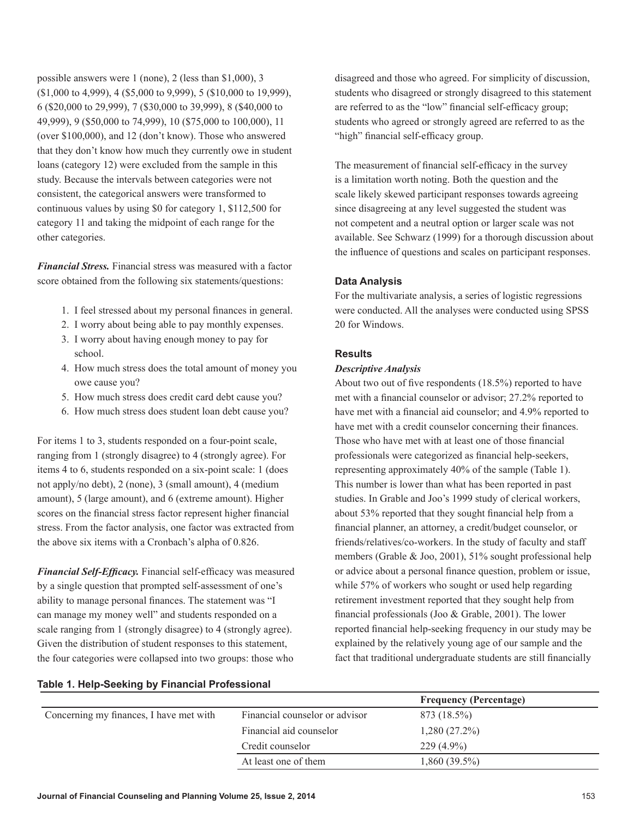possible answers were 1 (none), 2 (less than \$1,000), 3 (\$1,000 to 4,999), 4 (\$5,000 to 9,999), 5 (\$10,000 to 19,999), 6 (\$20,000 to 29,999), 7 (\$30,000 to 39,999), 8 (\$40,000 to 49,999), 9 (\$50,000 to 74,999), 10 (\$75,000 to 100,000), 11 (over \$100,000), and 12 (don't know). Those who answered that they don't know how much they currently owe in student loans (category 12) were excluded from the sample in this study. Because the intervals between categories were not consistent, the categorical answers were transformed to continuous values by using \$0 for category 1, \$112,500 for category 11 and taking the midpoint of each range for the other categories.

*Financial Stress.* Financial stress was measured with a factor score obtained from the following six statements/questions:

- 1. I feel stressed about my personal finances in general.
- 2. I worry about being able to pay monthly expenses.
- 3. I worry about having enough money to pay for school.
- 4. How much stress does the total amount of money you owe cause you?
- 5. How much stress does credit card debt cause you?
- 6. How much stress does student loan debt cause you?

For items 1 to 3, students responded on a four-point scale, ranging from 1 (strongly disagree) to 4 (strongly agree). For items 4 to 6, students responded on a six-point scale: 1 (does not apply/no debt), 2 (none), 3 (small amount), 4 (medium amount), 5 (large amount), and 6 (extreme amount). Higher scores on the financial stress factor represent higher financial stress. From the factor analysis, one factor was extracted from the above six items with a Cronbach's alpha of 0.826.

*Financial Self-Efficacy.* Financial self-efficacy was measured by a single question that prompted self-assessment of one's ability to manage personal finances. The statement was "I can manage my money well" and students responded on a scale ranging from 1 (strongly disagree) to 4 (strongly agree). Given the distribution of student responses to this statement, the four categories were collapsed into two groups: those who

disagreed and those who agreed. For simplicity of discussion, students who disagreed or strongly disagreed to this statement are referred to as the "low" financial self-efficacy group; students who agreed or strongly agreed are referred to as the "high" financial self-efficacy group.

The measurement of financial self-efficacy in the survey is a limitation worth noting. Both the question and the scale likely skewed participant responses towards agreeing since disagreeing at any level suggested the student was not competent and a neutral option or larger scale was not available. See Schwarz (1999) for a thorough discussion about the influence of questions and scales on participant responses.

#### **Data Analysis**

For the multivariate analysis, a series of logistic regressions were conducted. All the analyses were conducted using SPSS 20 for Windows.

#### **Results**

## *Descriptive Analysis*

About two out of five respondents (18.5%) reported to have met with a financial counselor or advisor; 27.2% reported to have met with a financial aid counselor; and 4.9% reported to have met with a credit counselor concerning their finances. Those who have met with at least one of those financial professionals were categorized as financial help-seekers, representing approximately 40% of the sample (Table 1). This number is lower than what has been reported in past studies. In Grable and Joo's 1999 study of clerical workers, about 53% reported that they sought financial help from a financial planner, an attorney, a credit/budget counselor, or friends/relatives/co-workers. In the study of faculty and staff members (Grable & Joo, 2001), 51% sought professional help or advice about a personal finance question, problem or issue, while 57% of workers who sought or used help regarding retirement investment reported that they sought help from financial professionals (Joo & Grable, 2001). The lower reported financial help-seeking frequency in our study may be explained by the relatively young age of our sample and the fact that traditional undergraduate students are still financially

#### **Table 1. Help-Seeking by Financial Professional**

|                                         |                                | <b>Frequency (Percentage)</b> |
|-----------------------------------------|--------------------------------|-------------------------------|
| Concerning my finances, I have met with | Financial counselor or advisor | 873 (18.5%)                   |
|                                         | Financial aid counselor        | $1,280(27.2\%)$               |
|                                         | Credit counselor               | $229(4.9\%)$                  |
|                                         | At least one of them           | $1,860(39.5\%)$               |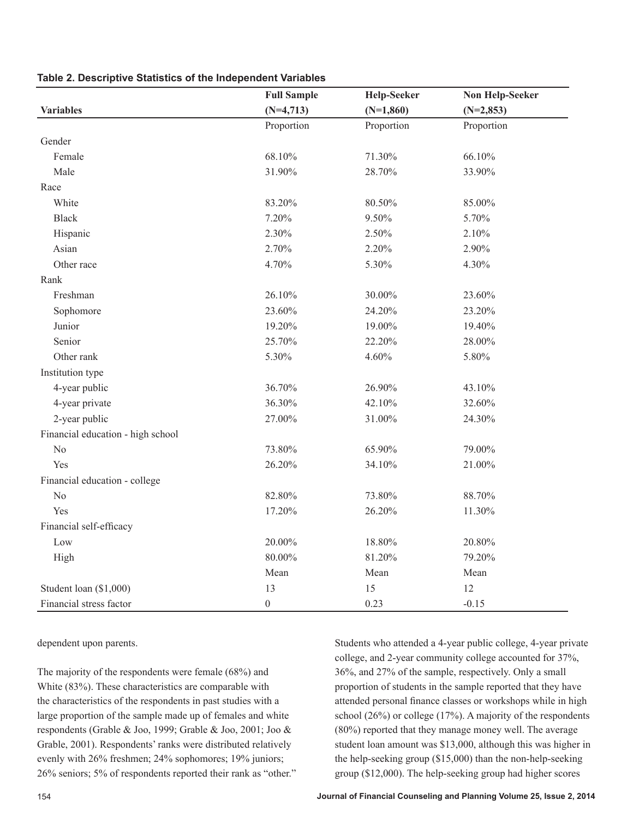|                                   | <b>Full Sample</b> | <b>Help-Seeker</b> | <b>Non Help-Seeker</b> |
|-----------------------------------|--------------------|--------------------|------------------------|
| <b>Variables</b>                  | $(N=4,713)$        | $(N=1,860)$        | $(N=2,853)$            |
|                                   | Proportion         | Proportion         | Proportion             |
| Gender                            |                    |                    |                        |
| Female                            | 68.10%             | 71.30%             | 66.10%                 |
| Male                              | 31.90%             | 28.70%             | 33.90%                 |
| Race                              |                    |                    |                        |
| White                             | 83.20%             | 80.50%             | 85.00%                 |
| <b>Black</b>                      | 7.20%              | 9.50%              | 5.70%                  |
| Hispanic                          | 2.30%              | 2.50%              | 2.10%                  |
| Asian                             | 2.70%              | 2.20%              | 2.90%                  |
| Other race                        | 4.70%              | 5.30%              | 4.30%                  |
| Rank                              |                    |                    |                        |
| Freshman                          | 26.10%             | 30.00%             | 23.60%                 |
| Sophomore                         | 23.60%             | 24.20%             | 23.20%                 |
| Junior                            | 19.20%             | 19.00%             | 19.40%                 |
| Senior                            | 25.70%             | 22.20%             | 28.00%                 |
| Other rank                        | 5.30%              | 4.60%              | 5.80%                  |
| Institution type                  |                    |                    |                        |
| 4-year public                     | 36.70%             | 26.90%             | 43.10%                 |
| 4-year private                    | 36.30%             | 42.10%             | 32.60%                 |
| 2-year public                     | 27.00%             | 31.00%             | 24.30%                 |
| Financial education - high school |                    |                    |                        |
| N <sub>0</sub>                    | 73.80%             | 65.90%             | 79.00%                 |
| Yes                               | 26.20%             | 34.10%             | 21.00%                 |
| Financial education - college     |                    |                    |                        |
| N <sub>0</sub>                    | 82.80%             | 73.80%             | 88.70%                 |
| Yes                               | 17.20%             | 26.20%             | 11.30%                 |
| Financial self-efficacy           |                    |                    |                        |
| Low                               | 20.00%             | 18.80%             | 20.80%                 |
| High                              | 80.00%             | 81.20%             | 79.20%                 |
|                                   | Mean               | Mean               | Mean                   |
| Student loan (\$1,000)            | 13                 | 15                 | 12                     |
| Financial stress factor           | $\boldsymbol{0}$   | 0.23               | $-0.15$                |

**Table 2. Descriptive Statistics of the Independent Variables**

dependent upon parents.

The majority of the respondents were female (68%) and White (83%). These characteristics are comparable with the characteristics of the respondents in past studies with a large proportion of the sample made up of females and white respondents (Grable & Joo, 1999; Grable & Joo, 2001; Joo & Grable, 2001). Respondents' ranks were distributed relatively evenly with 26% freshmen; 24% sophomores; 19% juniors; 26% seniors; 5% of respondents reported their rank as "other." Students who attended a 4-year public college, 4-year private college, and 2-year community college accounted for 37%, 36%, and 27% of the sample, respectively. Only a small proportion of students in the sample reported that they have attended personal finance classes or workshops while in high school (26%) or college (17%). A majority of the respondents (80%) reported that they manage money well. The average student loan amount was \$13,000, although this was higher in the help-seeking group (\$15,000) than the non-help-seeking group (\$12,000). The help-seeking group had higher scores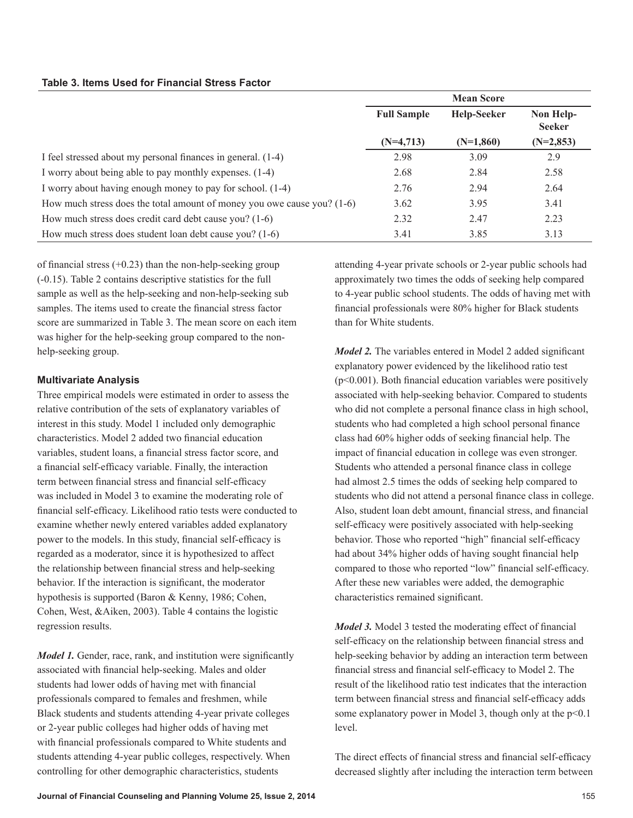| <b>Table 3. Items Used for Financial Stress Factor</b> |  |  |  |  |
|--------------------------------------------------------|--|--|--|--|
|--------------------------------------------------------|--|--|--|--|

|                                                                           |                    | <b>Mean Score</b>  |                            |
|---------------------------------------------------------------------------|--------------------|--------------------|----------------------------|
|                                                                           | <b>Full Sample</b> | <b>Help-Seeker</b> | Non Help-<br><b>Seeker</b> |
|                                                                           | $(N=4,713)$        | $(N=1,860)$        | $(N=2,853)$                |
| I feel stressed about my personal finances in general. (1-4)              | 2.98               | 3.09               | 2.9                        |
| I worry about being able to pay monthly expenses. (1-4)                   | 2.68               | 2.84               | 2.58                       |
| I worry about having enough money to pay for school. (1-4)                | 2.76               | 2.94               | 2.64                       |
| How much stress does the total amount of money you owe cause you? $(1-6)$ | 3.62               | 3.95               | 3.41                       |
| How much stress does credit card debt cause you? (1-6)                    | 2.32               | 2.47               | 2.23                       |
| How much stress does student loan debt cause you? (1-6)                   | 3.41               | 3.85               | 3.13                       |

of financial stress  $(+0.23)$  than the non-help-seeking group (-0.15). Table 2 contains descriptive statistics for the full sample as well as the help-seeking and non-help-seeking sub samples. The items used to create the financial stress factor score are summarized in Table 3. The mean score on each item was higher for the help-seeking group compared to the nonhelp-seeking group.

# **Multivariate Analysis**

Three empirical models were estimated in order to assess the relative contribution of the sets of explanatory variables of interest in this study. Model 1 included only demographic characteristics. Model 2 added two financial education variables, student loans, a financial stress factor score, and a financial self-efficacy variable. Finally, the interaction term between financial stress and financial self-efficacy was included in Model 3 to examine the moderating role of financial self-efficacy. Likelihood ratio tests were conducted to examine whether newly entered variables added explanatory power to the models. In this study, financial self-efficacy is regarded as a moderator, since it is hypothesized to affect the relationship between financial stress and help-seeking behavior. If the interaction is significant, the moderator hypothesis is supported (Baron & Kenny, 1986; Cohen, Cohen, West, &Aiken, 2003). Table 4 contains the logistic regression results.

*Model 1.* Gender, race, rank, and institution were significantly associated with financial help-seeking. Males and older students had lower odds of having met with financial professionals compared to females and freshmen, while Black students and students attending 4-year private colleges or 2-year public colleges had higher odds of having met with financial professionals compared to White students and students attending 4-year public colleges, respectively. When controlling for other demographic characteristics, students

attending 4-year private schools or 2-year public schools had approximately two times the odds of seeking help compared to 4-year public school students. The odds of having met with financial professionals were 80% higher for Black students than for White students.

*Model 2.* The variables entered in Model 2 added significant explanatory power evidenced by the likelihood ratio test  $(p<0.001)$ . Both financial education variables were positively associated with help-seeking behavior. Compared to students who did not complete a personal finance class in high school, students who had completed a high school personal finance class had 60% higher odds of seeking financial help. The impact of financial education in college was even stronger. Students who attended a personal finance class in college had almost 2.5 times the odds of seeking help compared to students who did not attend a personal finance class in college. Also, student loan debt amount, financial stress, and financial self-efficacy were positively associated with help-seeking behavior. Those who reported "high" financial self-efficacy had about 34% higher odds of having sought financial help compared to those who reported "low" financial self-efficacy. After these new variables were added, the demographic characteristics remained significant.

*Model 3.* Model 3 tested the moderating effect of financial self-efficacy on the relationship between financial stress and help-seeking behavior by adding an interaction term between financial stress and financial self-efficacy to Model 2. The result of the likelihood ratio test indicates that the interaction term between financial stress and financial self-efficacy adds some explanatory power in Model 3, though only at the p<0.1 level.

The direct effects of financial stress and financial self-efficacy decreased slightly after including the interaction term between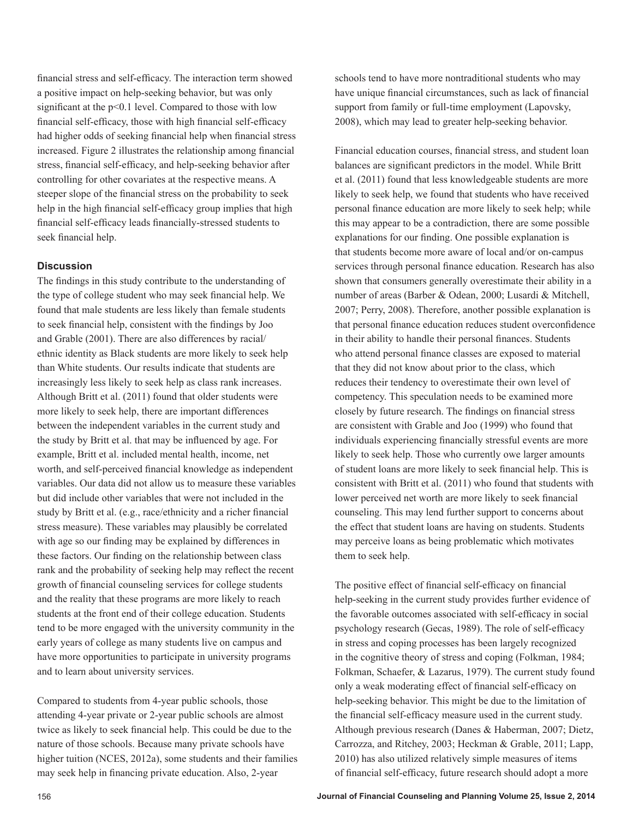financial stress and self-efficacy. The interaction term showed a positive impact on help-seeking behavior, but was only significant at the  $p<0.1$  level. Compared to those with low financial self-efficacy, those with high financial self-efficacy had higher odds of seeking financial help when financial stress increased. Figure 2 illustrates the relationship among financial stress, financial self-efficacy, and help-seeking behavior after controlling for other covariates at the respective means. A steeper slope of the financial stress on the probability to seek help in the high financial self-efficacy group implies that high financial self-efficacy leads financially-stressed students to seek financial help.

#### **Discussion**

The findings in this study contribute to the understanding of the type of college student who may seek financial help. We found that male students are less likely than female students to seek financial help, consistent with the findings by Joo and Grable (2001). There are also differences by racial/ ethnic identity as Black students are more likely to seek help than White students. Our results indicate that students are increasingly less likely to seek help as class rank increases. Although Britt et al. (2011) found that older students were more likely to seek help, there are important differences between the independent variables in the current study and the study by Britt et al. that may be influenced by age. For example, Britt et al. included mental health, income, net worth, and self-perceived financial knowledge as independent variables. Our data did not allow us to measure these variables but did include other variables that were not included in the study by Britt et al. (e.g., race/ethnicity and a richer financial stress measure). These variables may plausibly be correlated with age so our finding may be explained by differences in these factors. Our finding on the relationship between class rank and the probability of seeking help may reflect the recent growth of financial counseling services for college students and the reality that these programs are more likely to reach students at the front end of their college education. Students tend to be more engaged with the university community in the early years of college as many students live on campus and have more opportunities to participate in university programs and to learn about university services.

Compared to students from 4-year public schools, those attending 4-year private or 2-year public schools are almost twice as likely to seek financial help. This could be due to the nature of those schools. Because many private schools have higher tuition (NCES, 2012a), some students and their families may seek help in financing private education. Also, 2-year

schools tend to have more nontraditional students who may have unique financial circumstances, such as lack of financial support from family or full-time employment (Lapovsky, 2008), which may lead to greater help-seeking behavior.

Financial education courses, financial stress, and student loan balances are significant predictors in the model. While Britt et al. (2011) found that less knowledgeable students are more likely to seek help, we found that students who have received personal finance education are more likely to seek help; while this may appear to be a contradiction, there are some possible explanations for our finding. One possible explanation is that students become more aware of local and/or on-campus services through personal finance education. Research has also shown that consumers generally overestimate their ability in a number of areas (Barber & Odean, 2000; Lusardi & Mitchell, 2007; Perry, 2008). Therefore, another possible explanation is that personal finance education reduces student overconfidence in their ability to handle their personal finances. Students who attend personal finance classes are exposed to material that they did not know about prior to the class, which reduces their tendency to overestimate their own level of competency. This speculation needs to be examined more closely by future research. The findings on financial stress are consistent with Grable and Joo (1999) who found that individuals experiencing financially stressful events are more likely to seek help. Those who currently owe larger amounts of student loans are more likely to seek financial help. This is consistent with Britt et al. (2011) who found that students with lower perceived net worth are more likely to seek financial counseling. This may lend further support to concerns about the effect that student loans are having on students. Students may perceive loans as being problematic which motivates them to seek help.

The positive effect of financial self-efficacy on financial help-seeking in the current study provides further evidence of the favorable outcomes associated with self-efficacy in social psychology research (Gecas, 1989). The role of self-efficacy in stress and coping processes has been largely recognized in the cognitive theory of stress and coping (Folkman, 1984; Folkman, Schaefer, & Lazarus, 1979). The current study found only a weak moderating effect of financial self-efficacy on help-seeking behavior. This might be due to the limitation of the financial self-efficacy measure used in the current study. Although previous research (Danes & Haberman, 2007; Dietz, Carrozza, and Ritchey, 2003; Heckman & Grable, 2011; Lapp, 2010) has also utilized relatively simple measures of items of financial self-efficacy, future research should adopt a more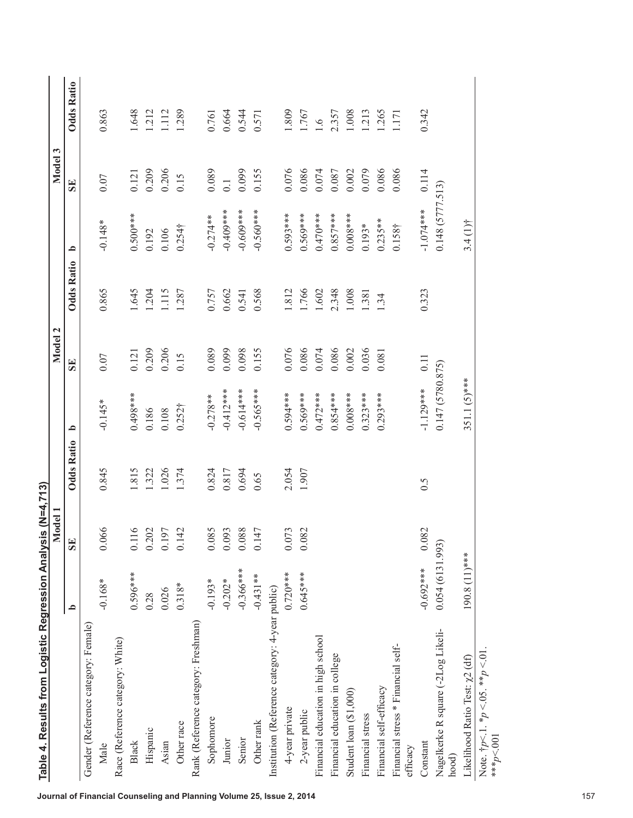| Table 4. Results from Logistic Regression Analysis (N=4,713)          |                 | <b>Iodel 1</b><br>Σ |                   |                    | $\mathbf{\tilde{c}}$<br>Model |                   |                 | Model 3 |                   |
|-----------------------------------------------------------------------|-----------------|---------------------|-------------------|--------------------|-------------------------------|-------------------|-----------------|---------|-------------------|
|                                                                       | م               | <b>SE</b>           | <b>Odds Ratio</b> | <u>م</u>           | SE                            | <b>Odds Ratio</b> | م               | SE      | <b>Odds Ratio</b> |
| Gender (Reference category: Female)                                   |                 |                     |                   |                    |                               |                   |                 |         |                   |
| Male                                                                  | $-0.168*$       | 0.066               | 0.845             | $-0.145*$          | 0.07                          | 0.865             | $-0.148*$       | 0.07    | 0.863             |
| Race (Reference category: White)                                      |                 |                     |                   |                    |                               |                   |                 |         |                   |
| Black                                                                 | $0.596***$      | $\circ$<br>0.11     | 815               | $0.498***$         | 0.121                         | 1.645             | $0.500***$      | 0.121   | 1.648             |
| Hispanic                                                              | 0.28            | 0.202               | .322              | 0.186              | 0.209                         | 1.204             | 0.192           | 0.209   | 1.212             |
| Asian                                                                 | 0.026           | 0.197               | 1.026             | 0.108              | 0.206                         | 1.115             | 0.106           | 0.206   | 1.112             |
| Other race                                                            | $0.318*$        | 0.142               | 1.374             | 0.252 <sup>†</sup> | 0.15                          | 1.287             | 0.2541          | 0.15    | 1.289             |
| Rank (Reference category: Freshman)                                   |                 |                     |                   |                    |                               |                   |                 |         |                   |
| Sophomore                                                             | $-0.193*$       | Ō,<br>0.08          | 0.824             | $-0.278**$         | 0.089                         | 0.757             | $-0.274**$      | 0.089   | 0.761             |
| Junior                                                                | $-0.202*$       | 0.093               | 0.817             | $-0.412***$        | 0.099                         | 0.662             | $-0.409$ ***    | 0.1     | 0.664             |
| Senior                                                                | $-0.366***$     | 0.088               | 0.694             | $-0.614***$        | 0.098                         | 0.541             | $-0.609***$     | 0.099   | 0.544             |
| Other rank                                                            | $-0.431**$      | 0.147               | 0.65              | $-0.565***$        | 0.155                         | 0.568             | $-0.560***$     | 0.155   | 0.571             |
| Institution (Reference category: 4-year public)                       |                 |                     |                   |                    |                               |                   |                 |         |                   |
| 4-year private                                                        | $0.720***$      | 0.073               | 2.054             | $0.594***$         | 0.076                         | 1.812             | $0.593***$      | 0.076   | 1.809             |
| 2-year public                                                         | $0.645***$      | 0.082               | 1.907             | $0.569***$         | 0.086                         | 1.766             | $0.569***$      | 0.086   | 1.767             |
| Financial education in high school                                    |                 |                     |                   | $0.472***$         | 0.074                         | 1.602             | $0.470***$      | 0.074   | 1.6               |
| Financial education in college                                        |                 |                     |                   | $0.854***$         | 0.086                         | 2.348             | $0.857***$      | 0.087   | 2.357             |
| Student loan (\$1,000)                                                |                 |                     |                   | $0.008***$         | 0.002                         | 1.008             | $0.008***$      | 0.002   | 1.008             |
| Financial stress                                                      |                 |                     |                   | $0.323***$         | 0.036                         | 1.381             | $0.193*$        | 0.079   | 1.213             |
| Financial self-efficacy                                               |                 |                     |                   | $0.293***$         | 0.081                         | 1.34              | $0.235***$      | 0.086   | 1.265             |
| Financial stress * Financial self-                                    |                 |                     |                   |                    |                               |                   | $0.158+$        | 0.086   | 171               |
| efficacy                                                              |                 |                     |                   |                    |                               |                   |                 |         |                   |
| Constant                                                              | $-0.692***$     | 0.082               | 0.5               | $-1.129***$        | 0.11                          | 0.323             | $-1.074***$     | 0.114   | 0.342             |
| Nagelkerke R square (-2Log Likeli-<br>hood)                           | 0.054(6131.993) |                     |                   | 0.147 (5780.875)   |                               |                   | 0.148(5777.513) |         |                   |
| Likelihood Ratio Test: x2 (df)                                        | 190.8 (11)***   |                     |                   | 351.1 (5)***       |                               |                   | $3.4(1)$ †      |         |                   |
| Note. $\frac{1}{7}p < 1.$ * $p < 0.5$ . ** $p < 0.1$<br>*** $p$ < 001 |                 |                     |                   |                    |                               |                   |                 |         |                   |
|                                                                       |                 |                     |                   |                    |                               |                   |                 |         |                   |
|                                                                       |                 |                     |                   |                    |                               |                   |                 |         |                   |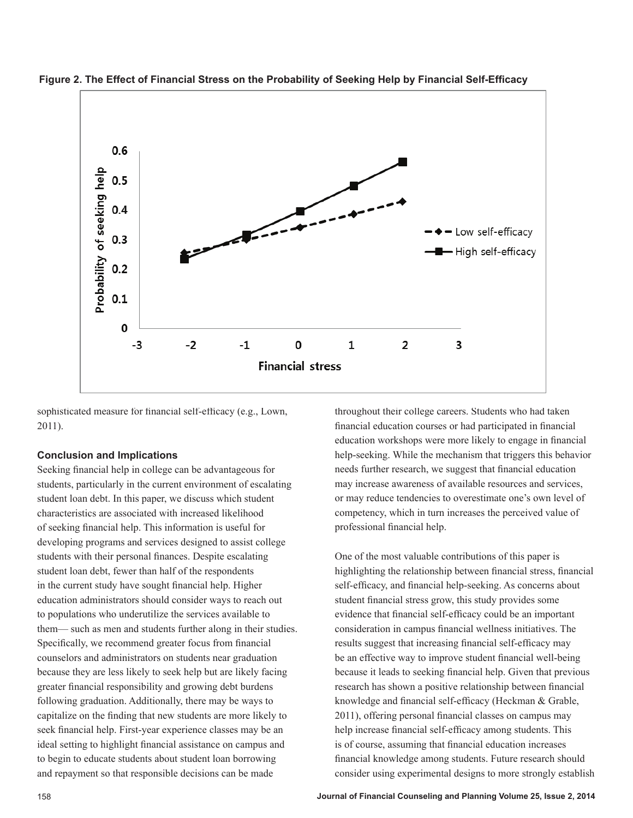



sophisticated measure for financial self-efficacy (e.g., Lown, 2011).

## **Conclusion and Implications**

Seeking financial help in college can be advantageous for students, particularly in the current environment of escalating student loan debt. In this paper, we discuss which student characteristics are associated with increased likelihood of seeking financial help. This information is useful for developing programs and services designed to assist college students with their personal finances. Despite escalating student loan debt, fewer than half of the respondents in the current study have sought financial help. Higher education administrators should consider ways to reach out to populations who underutilize the services available to them— such as men and students further along in their studies. Specifically, we recommend greater focus from financial counselors and administrators on students near graduation because they are less likely to seek help but are likely facing greater financial responsibility and growing debt burdens following graduation. Additionally, there may be ways to capitalize on the finding that new students are more likely to seek financial help. First-year experience classes may be an ideal setting to highlight financial assistance on campus and to begin to educate students about student loan borrowing and repayment so that responsible decisions can be made

throughout their college careers. Students who had taken financial education courses or had participated in financial education workshops were more likely to engage in financial help-seeking. While the mechanism that triggers this behavior needs further research, we suggest that financial education may increase awareness of available resources and services, or may reduce tendencies to overestimate one's own level of competency, which in turn increases the perceived value of professional financial help.

One of the most valuable contributions of this paper is highlighting the relationship between financial stress, financial self-efficacy, and financial help-seeking. As concerns about student financial stress grow, this study provides some evidence that financial self-efficacy could be an important consideration in campus financial wellness initiatives. The results suggest that increasing financial self-efficacy may be an effective way to improve student financial well-being because it leads to seeking financial help. Given that previous research has shown a positive relationship between financial knowledge and financial self-efficacy (Heckman & Grable, 2011), offering personal financial classes on campus may help increase financial self-efficacy among students. This is of course, assuming that financial education increases financial knowledge among students. Future research should consider using experimental designs to more strongly establish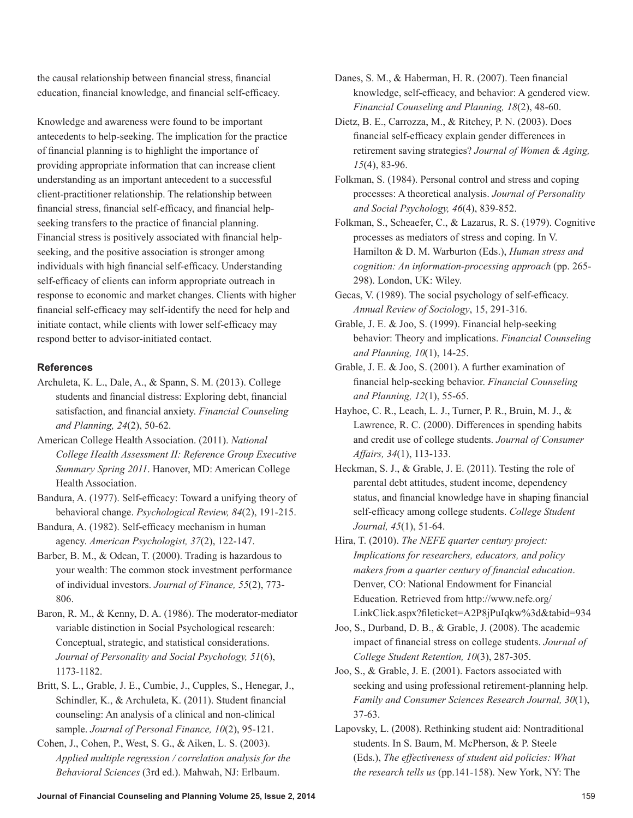the causal relationship between financial stress, financial education, financial knowledge, and financial self-efficacy.

Knowledge and awareness were found to be important antecedents to help-seeking. The implication for the practice of financial planning is to highlight the importance of providing appropriate information that can increase client understanding as an important antecedent to a successful client-practitioner relationship. The relationship between financial stress, financial self-efficacy, and financial helpseeking transfers to the practice of financial planning. Financial stress is positively associated with financial helpseeking, and the positive association is stronger among individuals with high financial self-efficacy. Understanding self-efficacy of clients can inform appropriate outreach in response to economic and market changes. Clients with higher financial self-efficacy may self-identify the need for help and initiate contact, while clients with lower self-efficacy may respond better to advisor-initiated contact.

# **References**

- Archuleta, K. L., Dale, A., & Spann, S. M. (2013). College students and financial distress: Exploring debt, financial satisfaction, and financial anxiety. *Financial Counseling and Planning, 24*(2), 50-62.
- American College Health Association. (2011). *National College Health Assessment II: Reference Group Executive Summary Spring 2011*. Hanover, MD: American College Health Association.
- Bandura, A. (1977). Self-efficacy: Toward a unifying theory of behavioral change. *Psychological Review, 84*(2), 191-215.
- Bandura, A. (1982). Self-efficacy mechanism in human agency. *American Psychologist, 37*(2), 122-147.
- Barber, B. M., & Odean, T. (2000). Trading is hazardous to your wealth: The common stock investment performance of individual investors. *Journal of Finance, 55*(2), 773- 806.
- Baron, R. M., & Kenny, D. A. (1986). The moderator-mediator variable distinction in Social Psychological research: Conceptual, strategic, and statistical considerations. *Journal of Personality and Social Psychology, 51*(6), 1173-1182.
- Britt, S. L., Grable, J. E., Cumbie, J., Cupples, S., Henegar, J., Schindler, K., & Archuleta, K. (2011). Student financial counseling: An analysis of a clinical and non-clinical sample. *Journal of Personal Finance, 10*(2), 95-121.
- Cohen, J., Cohen, P., West, S. G., & Aiken, L. S. (2003). *Applied multiple regression / correlation analysis for the Behavioral Sciences* (3rd ed.). Mahwah, NJ: Erlbaum.
- Danes, S. M., & Haberman, H. R. (2007). Teen financial knowledge, self-efficacy, and behavior: A gendered view. *Financial Counseling and Planning, 18*(2), 48-60.
- Dietz, B. E., Carrozza, M., & Ritchey, P. N. (2003). Does financial self-efficacy explain gender differences in retirement saving strategies? *Journal of Women & Aging, 15*(4), 83-96.
- Folkman, S. (1984). Personal control and stress and coping processes: A theoretical analysis. *Journal of Personality and Social Psychology, 46*(4), 839-852.
- Folkman, S., Scheaefer, C., & Lazarus, R. S. (1979). Cognitive processes as mediators of stress and coping. In V. Hamilton & D. M. Warburton (Eds.), *Human stress and cognition: An information-processing approach* (pp. 265- 298). London, UK: Wiley.
- Gecas, V. (1989). The social psychology of self-efficacy. *Annual Review of Sociology*, 15, 291-316.
- Grable, J. E. & Joo, S. (1999). Financial help-seeking behavior: Theory and implications. *Financial Counseling and Planning, 10*(1), 14-25.
- Grable, J. E. & Joo, S. (2001). A further examination of financial help-seeking behavior. *Financial Counseling and Planning, 12*(1), 55-65.
- Hayhoe, C. R., Leach, L. J., Turner, P. R., Bruin, M. J., & Lawrence, R. C. (2000). Differences in spending habits and credit use of college students. *Journal of Consumer Affairs, 34*(1), 113-133.
- Heckman, S. J., & Grable, J. E. (2011). Testing the role of parental debt attitudes, student income, dependency status, and financial knowledge have in shaping financial self-efficacy among college students. *College Student Journal, 45*(1), 51-64.
- Hira, T. (2010). *The NEFE quarter century project: Implications for researchers, educators, and policy makers from a quarter century of financial education*. Denver, CO: National Endowment for Financial Education. Retrieved from http://www.nefe.org/ LinkClick.aspx?fileticket=A2P8jPuIqkw%3d&tabid=934
- Joo, S., Durband, D. B., & Grable, J. (2008). The academic impact of financial stress on college students. *Journal of College Student Retention, 10*(3), 287-305.
- Joo, S., & Grable, J. E. (2001). Factors associated with seeking and using professional retirement-planning help. *Family and Consumer Sciences Research Journal, 30*(1), 37-63.
- Lapovsky, L. (2008). Rethinking student aid: Nontraditional students. In S. Baum, M. McPherson, & P. Steele (Eds.), *The effectiveness of student aid policies: What the research tells us* (pp.141-158). New York, NY: The